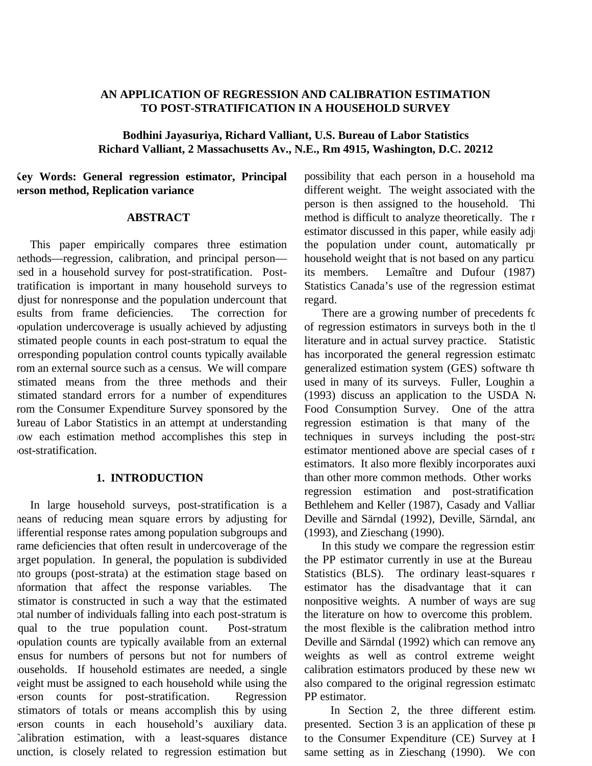## **AN APPLICATION OF REGRESSION AND CALIBRATION ESTIMATION TO POST-STRATIFICATION IN A HOUSEHOLD SURVEY**

**Bodhini Jayasuriya, Richard Valliant, U.S. Bureau of Labor Statistics Richard Valliant, 2 Massachusetts Av., N.E., Rm 4915, Washington, D.C. 20212**

**Key Words: General regression estimator, Principal person method, Replication variance**

#### **ABSTRACT**

This paper empirically compares three estimation methods—regression, calibration, and principal person used in a household survey for post-stratification. Posttratification is important in many household surveys to adjust for nonresponse and the population undercount that esults from frame deficiencies. The correction for population undercoverage is usually achieved by adjusting estimated people counts in each post-stratum to equal the corresponding population control counts typically available rom an external source such as a census. We will compare stimated means from the three methods and their stimated standard errors for a number of expenditures rom the Consumer Expenditure Survey sponsored by the Bureau of Labor Statistics in an attempt at understanding how each estimation method accomplishes this step in post-stratification.

### **1. INTRODUCTION**

In large household surveys, post-stratification is a means of reducing mean square errors by adjusting for lifferential response rates among population subgroups and rame deficiencies that often result in undercoverage of the arget population. In general, the population is subdivided nto groups (post-strata) at the estimation stage based on nformation that affect the response variables. The estimator is constructed in such a way that the estimated otal number of individuals falling into each post-stratum is equal to the true population count. Post-stratum population counts are typically available from an external census for numbers of persons but not for numbers of households. If household estimates are needed, a single weight must be assigned to each household while using the person counts for post-stratification. Regression estimators of totals or means accomplish this by using person counts in each household's auxiliary data. Calibration estimation, with a least-squares distance unction, is closely related to regression estimation but

possibility that each person in a household ma different weight. The weight associated with the person is then assigned to the household. Thi method is difficult to analyze theoretically. The r estimator discussed in this paper, while easily adju the population under count, automatically pr household weight that is not based on any particul its members. Lemaître and Dufour (1987) Statistics Canada's use of the regression estimat regard.

There are a growing number of precedents for of regression estimators in surveys both in the th literature and in actual survey practice. Statistic has incorporated the general regression estimato generalized estimation system (GES) software th used in many of its surveys. Fuller, Loughin a  $(1993)$  discuss an application to the USDA Na Food Consumption Survey. One of the attra regression estimation is that many of the techniques in surveys including the post-stra estimator mentioned above are special cases of r estimators. It also more flexibly incorporates auxi than other more common methods. Other works : regression estimation and post-stratification Bethlehem and Keller (1987), Casady and Vallian Deville and Särndal (1992), Deville, Särndal, and (1993), and Zieschang (1990).

In this study we compare the regression estim the PP estimator currently in use at the Bureau Statistics (BLS). The ordinary least-squares r estimator has the disadvantage that it can nonpositive weights. A number of ways are sug the literature on how to overcome this problem. the most flexible is the calibration method intro Deville and Särndal (1992) which can remove any weights as well as control extreme weight calibration estimators produced by these new we also compared to the original regression estimato PP estimator.

In Section 2, the three different estimation presented. Section 3 is an application of these pr to the Consumer Expenditure (CE) Survey at I same setting as in Zieschang (1990). We com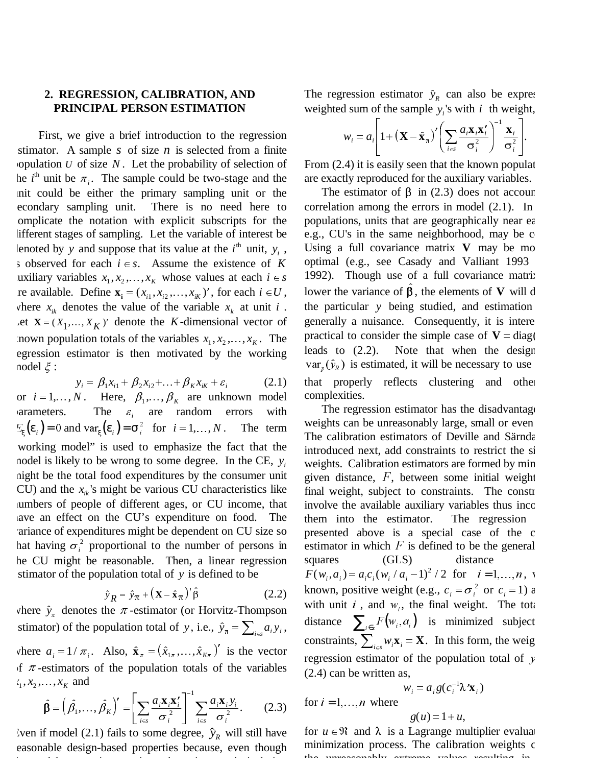## **2. REGRESSION, CALIBRATION, AND PRINCIPAL PERSON ESTIMATION**

First, we give a brief introduction to the regression estimator. A sample *s* of size *n* is selected from a finite population  $U$  of size  $N$ . Let the probability of selection of he  $i^{\text{th}}$  unit be  $\pi_i$ . The sample could be two-stage and the unit could be either the primary sampling unit or the econdary sampling unit. There is no need here to complicate the notation with explicit subscripts for the lifferent stages of sampling. Let the variable of interest be lenoted by *y* and suppose that its value at the  $i^{\text{th}}$  unit,  $y_i$ , s observed for each  $i \in s$ . Assume the existence of *K* uxiliary variables  $x_1, x_2, ..., x_k$  whose values at each  $i \in s$ re available. Define  $\mathbf{x}_i = (x_{i1}, x_{i2}, \dots, x_{iK})'$ , for each  $i \in U$ , where  $x_{ik}$  denotes the value of the variable  $x_k$  at unit *i*. Let  $X = (X_1, ..., X_K)$  denote the *K*-dimensional vector of nown population totals of the variables  $x_1, x_2, \ldots, x_k$ . The egression estimator is then motivated by the working nodel  $\xi$  :

 $y_i = \beta_1 x_{i1} + \beta_2 x_{i2} + \ldots + \beta_k x_{ik} + \varepsilon_i$  (2.1) or  $i = 1, ..., N$ . Here,  $\beta_1, ..., \beta_k$  are unknown model varameters. The  $\varepsilon_i$  are random errors with  $E_{\varepsilon}(\varepsilon_i) = 0$  and var $\varepsilon(\varepsilon_i) = \sigma_i^2$  for  $i = 1, ..., N$ . The term working model" is used to emphasize the fact that the model is likely to be wrong to some degree. In the CE, *yi* might be the total food expenditures by the consumer unit CU) and the  $x_{ik}$ 's might be various CU characteristics like numbers of people of different ages, or CU income, that have an effect on the CU's expenditure on food. The variance of expenditures might be dependent on CU size so hat having  $\sigma_i^2$  proportional to the number of persons in he CU might be reasonable. Then, a linear regression estimator of the population total of *y* is defined to be

$$
\hat{\mathbf{y}}_R = \hat{\mathbf{y}}_\pi + (\mathbf{X} - \hat{\mathbf{x}}_\pi)'\hat{\beta}
$$
 (2.2)

where  $\hat{y}_n$  denotes the  $\pi$ -estimator (or Horvitz-Thompson stimator) of the population total of *y*, i.e.,  $\hat{y}_n = \sum_{i \in \mathcal{S}} a_i y_i$ , where  $a_i = 1/\pi_i$ . Also,  $\hat{\mathbf{x}}_{\pi} = (\hat{x}_{1\pi}, \dots, \hat{x}_{K\pi})'$  is the vector of  $\pi$ -estimators of the population totals of the variables  $x_1, x_2, \ldots, x_k$  and

$$
\hat{\beta} = \left(\hat{\beta_1}, \dots, \hat{\beta_K}\right)' = \left[\sum_{i \in S} \frac{a_i \mathbf{x}_i \mathbf{x}_i'}{\sigma_i^2}\right]^{-1} \sum_{i \in S} \frac{a_i \mathbf{x}_i y_i}{\sigma_i^2}.
$$
 (2.3)

Even if model (2.1) fails to some degree,  $\hat{y}_R$  will still have easonable design-based properties because, even though h dl i i h i \$ id i

The regression estimator  $\hat{y}_R$  can also be expres weighted sum of the sample  $y_i$ 's with *i* th weight,

$$
w_i = a_i \left[ 1 + (\mathbf{X} - \hat{\mathbf{x}}_\pi)' \left( \sum_{i \in \mathcal{S}} \frac{a_i \mathbf{x}_i \mathbf{x}'_i}{\sigma_i^2} \right)^{-1} \frac{\mathbf{x}_i}{\sigma_i^2} \right].
$$

From (2.4) it is easily seen that the known populat are exactly reproduced for the auxiliary variables.

The estimator of  $\beta$  in (2.3) does not accoun correlation among the errors in model (2.1). In populations, units that are geographically near ea e.g., CU's in the same neighborhood, may be  $\circ$ Using a full covariance matrix **V** may be mo optimal (e.g., see Casady and Valliant 1993 1992). Though use of a full covariance matrix lower the variance of  $\hat{\beta}$ , the elements of **V** will d the particular *y* being studied, and estimation generally a nuisance. Consequently, it is intere practical to consider the simple case of  $V = diag($ leads to (2.2). Note that when the design  $var_{p}(\hat{y}_{R})$  is estimated, it will be necessary to use that properly reflects clustering and other complexities.

The regression estimator has the disadvantage weights can be unreasonably large, small or even The calibration estimators of Deville and Särnda introduced next, add constraints to restrict the si weights. Calibration estimators are formed by min given distance,  $F$ , between some initial weight final weight, subject to constraints. The constr involve the available auxiliary variables thus inco them into the estimator. The regression presented above is a special case of the c estimator in which  $F$  is defined to be the general squares (GLS) distance  $F(w_i, a_i) = a_i c_i (w_i / a_i - 1)^2 / 2$  for  $i = 1, ..., n, v$ known, positive weight (e.g.,  $c_i = \sigma_i^2$  or  $c_i = 1$ ) a with unit  $i$ , and  $w_i$ , the final weight. The tota distance  $\sum_{i \in S} F(w_i, a_i)$  is minimized subject constraints,  $\sum_{i \in S} w_i \mathbf{x}_i = \mathbf{X}$ . In this form, the weig regression estimator of the population total of  $y$ (2.4) can be written as,

$$
w_i = a_i g(c_i^{-1} \lambda' \mathbf{x}_i)
$$
  
..., *n* where  

$$
g(u) = 1 + u,
$$

for  $i = 1$ ,

for  $u \in \mathcal{R}$  and  $\lambda$  is a Lagrange multiplier evaluat minimization process. The calibration weights c the unreasonably extreme values resulting in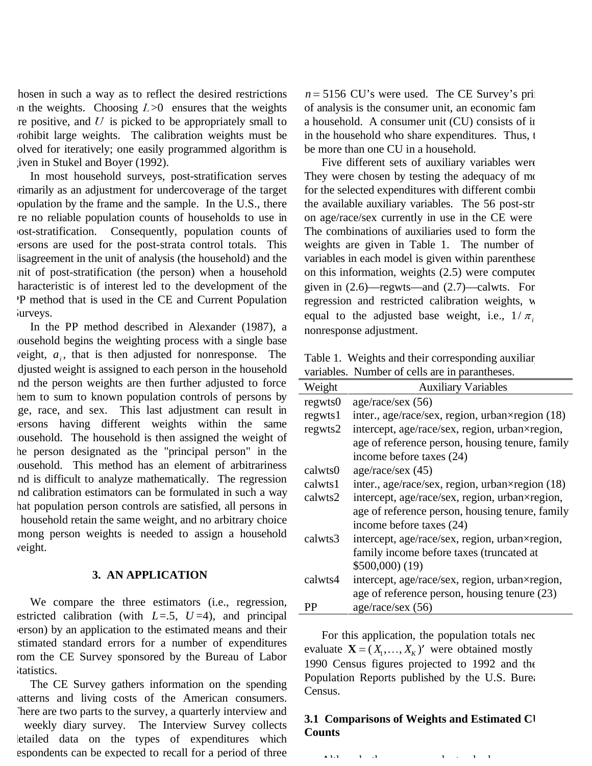hosen in such a way as to reflect the desired restrictions In the weights. Choosing  $L>0$  ensures that the weights re positive, and  $U$  is picked to be appropriately small to prohibit large weights. The calibration weights must be olved for iteratively; one easily programmed algorithm is given in Stukel and Boyer (1992).

In most household surveys, post-stratification serves primarily as an adjustment for undercoverage of the target population by the frame and the sample. In the U.S., there are no reliable population counts of households to use in post-stratification. Consequently, population counts of persons are used for the post-strata control totals. This lisagreement in the unit of analysis (the household) and the unit of post-stratification (the person) when a household haracteristic is of interest led to the development of the PP method that is used in the CE and Current Population Surveys.

In the PP method described in Alexander (1987), a household begins the weighting process with a single base veight,  $a_i$ , that is then adjusted for nonresponse. The adjusted weight is assigned to each person in the household and the person weights are then further adjusted to force hem to sum to known population controls of persons by age, race, and sex. This last adjustment can result in persons having different weights within the same household. The household is then assigned the weight of he person designated as the "principal person" in the household. This method has an element of arbitrariness and is difficult to analyze mathematically. The regression and calibration estimators can be formulated in such a way hat population person controls are satisfied, all persons in a household retain the same weight, and no arbitrary choice mong person weights is needed to assign a household weight.

#### **3. AN APPLICATION**

We compare the three estimators (i.e., regression, estricted calibration (with  $L=5$ ,  $U=4$ ), and principal person) by an application to the estimated means and their estimated standard errors for a number of expenditures rom the CE Survey sponsored by the Bureau of Labor Statistics.

The CE Survey gathers information on the spending patterns and living costs of the American consumers. There are two parts to the survey, a quarterly interview and a weekly diary survey. The Interview Survey collects letailed data on the types of expenditures which espondents can be expected to recall for a period of three

 $n = 5156$  CU's were used. The CE Survey's prim of analysis is the consumer unit, an economic fam a household. A consumer unit (CU) consists of in in the household who share expenditures. Thus, t be more than one CU in a household.

Five different sets of auxiliary variables were They were chosen by testing the adequacy of mofor the selected expenditures with different combin the available auxiliary variables. The 56 post-str on age/race/sex currently in use in the CE were The combinations of auxiliaries used to form the weights are given in Table 1. The number of variables in each model is given within parenthese on this information, weights  $(2.5)$  were computed given in (2.6)—regwts—and (2.7)—calwts. For regression and restricted calibration weights, w equal to the adjusted base weight, i.e.,  $1/\pi$ , nonresponse adjustment.

Table 1. Weights and their corresponding auxiliar variables. Number of cells are in parantheses.

| Weight  | <b>Auxiliary Variables</b>                      |
|---------|-------------------------------------------------|
| regwts0 | age/race/sec (56)                               |
| regwts1 | inter., age/race/sex, region, urban×region (18) |
| regwts2 | intercept, age/race/sex, region, urban×region,  |
|         | age of reference person, housing tenure, family |
|         | income before taxes (24)                        |
| calwts0 | age/race/sex $(45)$                             |
| calwts1 | inter., age/race/sex, region, urban×region (18) |
| calwts2 | intercept, age/race/sex, region, urban×region,  |
|         | age of reference person, housing tenure, family |
|         | income before taxes (24)                        |
| calwts3 | intercept, age/race/sex, region, urban×region,  |
|         | family income before taxes (truncated at        |
|         | \$500,000(19)                                   |
| calwts4 | intercept, age/race/sex, region, urban×region,  |
|         | age of reference person, housing tenure (23)    |
| PР      | age/race/sec (56)                               |

For this application, the population totals nec evaluate  $\mathbf{X} = (X_1, \dots, X_K)'$  were obtained mostly 1990 Census figures projected to 1992 and the Population Reports published by the U.S. Burea Census.

# **3.1 Comparisons of Weights and Estimated CU Counts**

A 121  $\pm$  1  $\pm$  1  $\pm$  1  $\pm$  1  $\pm$  1  $\pm$  1  $\pm$  1  $\pm$  1  $\pm$  1  $\pm$  1  $\pm$  1  $\pm$  1  $\pm$  1  $\pm$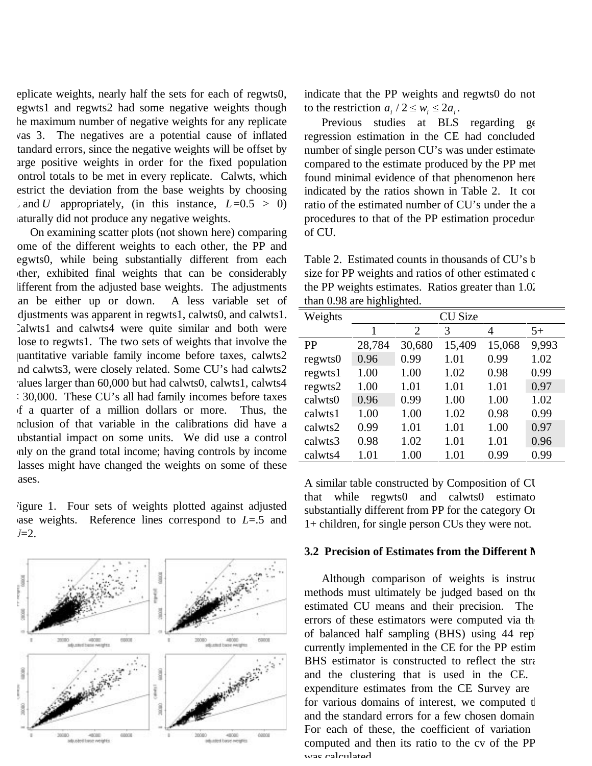eplicate weights, nearly half the sets for each of regwts0, egwts1 and regwts2 had some negative weights though he maximum number of negative weights for any replicate was 3. The negatives are a potential cause of inflated tandard errors, since the negative weights will be offset by arge positive weights in order for the fixed population control totals to be met in every replicate. Calwts, which estrict the deviation from the base weights by choosing  $L$  and *U* appropriately, (in this instance,  $L=0.5 > 0$ ) naturally did not produce any negative weights.

On examining scatter plots (not shown here) comparing ome of the different weights to each other, the PP and egwts0, while being substantially different from each other, exhibited final weights that can be considerably lifferent from the adjusted base weights. The adjustments an be either up or down. A less variable set of adjustments was apparent in regwts1, calwts0, and calwts1. Calwts1 and calwts4 were quite similar and both were lose to regwts1. The two sets of weights that involve the quantitative variable family income before taxes, calwts2 and calwts3, were closely related. Some CU's had calwts2 values larger than 60,000 but had calwts0, calwts1, calwts4 < 30,000. These CU's all had family incomes before taxes of a quarter of a million dollars or more. Thus, the nclusion of that variable in the calibrations did have a ubstantial impact on some units. We did use a control only on the grand total income; having controls by income lasses might have changed the weights on some of these ases.

Figure 1. Four sets of weights plotted against adjusted base weights. Reference lines correspond to *L*=.5 and  $U=2$ .



indicate that the PP weights and regwts0 do not to the restriction  $a_i / 2 \leq w_i \leq 2a_i$ .

Previous studies at BLS regarding ge regression estimation in the CE had concluded number of single person CU's was under estimated compared to the estimate produced by the PP met found minimal evidence of that phenomenon here indicated by the ratios shown in Table 2. It con ratio of the estimated number of CU's under the a procedures to that of the PP estimation procedure of CU.

Table 2. Estimated counts in thousands of CU's b size for PP weights and ratios of other estimated c the PP weights estimates. Ratios greater than 1.02 than 0.98 are highlighted.

| Weights   | <b>CU Size</b> |        |        |        |       |  |  |
|-----------|----------------|--------|--------|--------|-------|--|--|
|           | 1              | 2      | 3      | 4      | $5+$  |  |  |
| <b>PP</b> | 28,784         | 30,680 | 15,409 | 15,068 | 9,993 |  |  |
| regwts0   | 0.96           | 0.99   | 1.01   | 0.99   | 1.02  |  |  |
| regwts1   | 1.00           | 1.00   | 1.02   | 0.98   | 0.99  |  |  |
| regwts2   | 1.00           | 1.01   | 1.01   | 1.01   | 0.97  |  |  |
| calwts0   | 0.96           | 0.99   | 1.00   | 1.00   | 1.02  |  |  |
| calwts1   | 1.00           | 1.00   | 1.02   | 0.98   | 0.99  |  |  |
| calwts2   | 0.99           | 1.01   | 1.01   | 1.00   | 0.97  |  |  |
| calwts3   | 0.98           | 1.02   | 1.01   | 1.01   | 0.96  |  |  |
| calwts4   | 1.01           | 1.00   | 1.01   | 0.99   | 0.99  |  |  |

A similar table constructed by Composition of CU that while regwts0 and calwts0 estimato substantially different from PP for the category On 1+ children, for single person CUs they were not.

#### **3.2 Precision of Estimates from the Different M**

Although comparison of weights is instruc methods must ultimately be judged based on the estimated CU means and their precision. The errors of these estimators were computed via the of balanced half sampling (BHS) using 44 repl currently implemented in the CE for the PP estim BHS estimator is constructed to reflect the stra and the clustering that is used in the CE. expenditure estimates from the CE Survey are for various domains of interest, we computed the and the standard errors for a few chosen domain For each of these, the coefficient of variation computed and then its ratio to the cv of the PP was calculated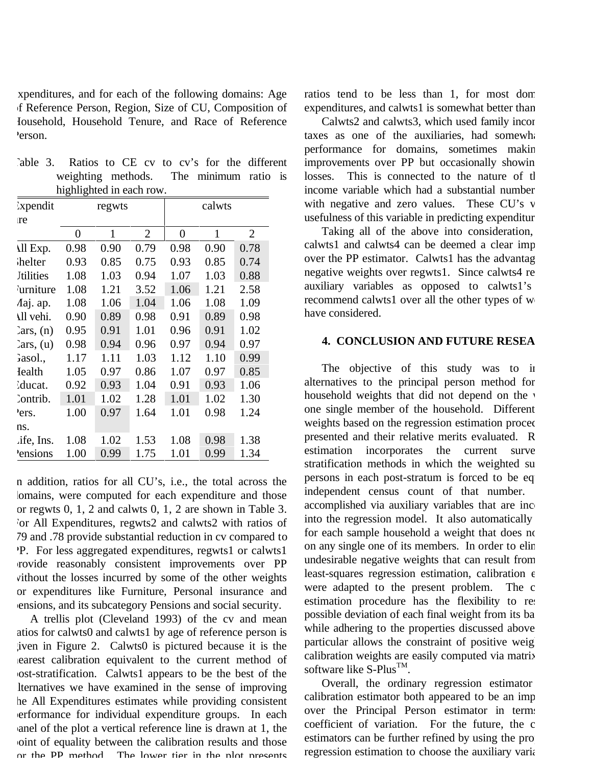expenditures, and for each of the following domains: Age of Reference Person, Region, Size of CU, Composition of Household, Household Tenure, and Race of Reference Person.

|  | Table 3. Ratios to CE cv to cv's for the different |  |  |  |  |  |
|--|----------------------------------------------------|--|--|--|--|--|
|  | weighting methods. The minimum ratio is            |  |  |  |  |  |
|  | highlighted in each row.                           |  |  |  |  |  |

| Expendit            |      | regwts |                | calwts |      |                |  |
|---------------------|------|--------|----------------|--------|------|----------------|--|
| <sub>tre</sub>      |      |        |                |        |      |                |  |
|                     | 0    | 1      | $\overline{2}$ | 0      | 1    | $\overline{2}$ |  |
| All Exp.            | 0.98 | 0.90   | 0.79           | 0.98   | 0.90 | 0.78           |  |
| helter <sup>{</sup> | 0.93 | 0.85   | 0.75           | 0.93   | 0.85 | 0.74           |  |
| <b>Jtilities</b>    | 1.08 | 1.03   | 0.94           | 1.07   | 1.03 | 0.88           |  |
| <b>urniture</b>     | 1.08 | 1.21   | 3.52           | 1.06   | 1.21 | 2.58           |  |
| Aaj. ap.            | 1.08 | 1.06   | 1.04           | 1.06   | 1.08 | 1.09           |  |
| All vehi.           | 0.90 | 0.89   | 0.98           | 0.91   | 0.89 | 0.98           |  |
| 2ars, (n)           | 0.95 | 0.91   | 1.01           | 0.96   | 0.91 | 1.02           |  |
| 2ars, (u)           | 0.98 | 0.94   | 0.96           | 0.97   | 0.94 | 0.97           |  |
| Gasol.,             | 1.17 | 1.11   | 1.03           | 1.12   | 1.10 | 0.99           |  |
| <b>I</b> ealth      | 1.05 | 0.97   | 0.86           | 1.07   | 0.97 | 0.85           |  |
| ducat.              | 0.92 | 0.93   | 1.04           | 0.91   | 0.93 | 1.06           |  |
| Contrib.            | 1.01 | 1.02   | 1.28           | 1.01   | 1.02 | 1.30           |  |
| ers.                | 1.00 | 0.97   | 1.64           | 1.01   | 0.98 | 1.24           |  |
| ns.                 |      |        |                |        |      |                |  |
| .ife, Ins.          | 1.08 | 1.02   | 1.53           | 1.08   | 0.98 | 1.38           |  |
| <i>Pensions</i>     | 1.00 | 0.99   | 1.75           | 1.01   | 0.99 | 1.34           |  |

n addition, ratios for all CU's, i.e., the total across the lomains, were computed for each expenditure and those or regwts 0, 1, 2 and calwts 0, 1, 2 are shown in Table 3. For All Expenditures, regwts2 and calwts2 with ratios of 79 and .78 provide substantial reduction in cv compared to PP. For less aggregated expenditures, regwts1 or calwts1 provide reasonably consistent improvements over PP without the losses incurred by some of the other weights or expenditures like Furniture, Personal insurance and pensions, and its subcategory Pensions and social security.

A trellis plot (Cleveland 1993) of the cv and mean atios for calwts0 and calwts1 by age of reference person is given in Figure 2. Calwts0 is pictured because it is the nearest calibration equivalent to the current method of post-stratification. Calwts1 appears to be the best of the alternatives we have examined in the sense of improving he All Expenditures estimates while providing consistent performance for individual expenditure groups. In each panel of the plot a vertical reference line is drawn at 1, the point of equality between the calibration results and those or the PP method The lower tier in the plot presents ratios tend to be less than 1, for most dom expenditures, and calwts1 is somewhat better than

Calwts2 and calwts3, which used family incortaxes as one of the auxiliaries, had somewhat performance for domains, sometimes makin improvements over PP but occasionally showin losses. This is connected to the nature of th income variable which had a substantial number with negative and zero values. These CU's v usefulness of this variable in predicting expenditur

Taking all of the above into consideration, calwts1 and calwts4 can be deemed a clear imp over the PP estimator. Calwts1 has the advantag negative weights over regwts1. Since calwts4 re auxiliary variables as opposed to calwts1's recommend calwts1 over all the other types of we have considered.

### **4. CONCLUSION AND FUTURE RESEA**

The objective of this study was to in alternatives to the principal person method for household weights that did not depend on the v one single member of the household. Different weights based on the regression estimation proced presented and their relative merits evaluated. R estimation incorporates the current surve stratification methods in which the weighted su persons in each post-stratum is forced to be eq independent census count of that number. accomplished via auxiliary variables that are inco into the regression model. It also automatically for each sample household a weight that does no on any single one of its members. In order to elim undesirable negative weights that can result from least-squares regression estimation, calibration e were adapted to the present problem. The c estimation procedure has the flexibility to res possible deviation of each final weight from its ba while adhering to the properties discussed above particular allows the constraint of positive weight calibration weights are easily computed via matrix software like  $S-Plus^{TM}$ .

Overall, the ordinary regression estimator calibration estimator both appeared to be an imp over the Principal Person estimator in terms coefficient of variation. For the future, the c estimators can be further refined by using the propregression estimation to choose the auxiliary varia